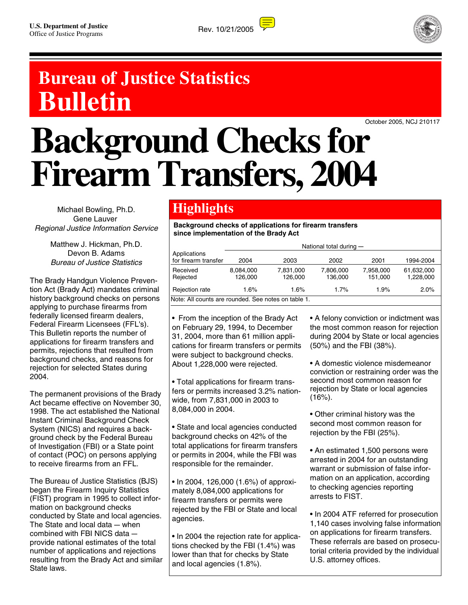



## **Bureau of Justice Statistics Bulletin**

October 2005, NCJ 210117

# **Background Checks for Firearm Transfers, 2004**

Michael Bowling, Ph.D. Gene Lauver Regional Justice Information Service

> Matthew J. Hickman, Ph.D. Devon B. Adams Bureau of Justice Statistics

The Brady Handgun Violence Prevention Act (Brady Act) mandates criminal history background checks on persons applying to purchase firearms from federally licensed firearm dealers, Federal Firearm Licensees (FFL's). This Bulletin reports the number of applications for firearm transfers and permits, rejections that resulted from background checks, and reasons for rejection for selected States during 2004.

The permanent provisions of the Brady Act became effective on November 30, 1998. The act established the National Instant Criminal Background Check System (NICS) and requires a background check by the Federal Bureau of Investigation (FBI) or a State point of contact (POC) on persons applying to receive firearms from an FFL.

The Bureau of Justice Statistics (BJS) began the Firearm Inquiry Statistics (FIST) program in 1995 to collect information on background checks conducted by State and local agencies. The State and local data  $-$  when combined with FBI NICS data provide national estimates of the total number of applications and rejections resulting from the Brady Act and similar State laws.

### **Highlights**

**Background checks of applications for firearm transfers since implementation of the Brady Act**

|                                                     | National total during - |                      |                      |                      |                         |  |  |  |
|-----------------------------------------------------|-------------------------|----------------------|----------------------|----------------------|-------------------------|--|--|--|
| Applications<br>for firearm transfer                | 2004                    | 2003                 | 2002                 | 2001                 | 1994-2004               |  |  |  |
| Received<br>Rejected                                | 8.084.000<br>126.000    | 7.831.000<br>126,000 | 7.806.000<br>136,000 | 7.958.000<br>151.000 | 61,632,000<br>1,228,000 |  |  |  |
| Rejection rate                                      | 1.6%                    | 1.6%                 | 1.7%                 | 1.9%                 | 2.0%                    |  |  |  |
| Note: All counts are rounded. See notes on table 1. |                         |                      |                      |                      |                         |  |  |  |

• From the inception of the Brady Act on February 29, 1994, to December 31, 2004, more than 61 million applications for firearm transfers or permits were subject to background checks. About 1,228,000 were rejected.

• Total applications for firearm transfers or permits increased 3.2% nationwide, from 7,831,000 in 2003 to 8,084,000 in 2004.

• State and local agencies conducted background checks on 42% of the total applications for firearm transfers or permits in 2004, while the FBI was responsible for the remainder.

• In 2004, 126,000 (1.6%) of approximately 8,084,000 applications for firearm transfers or permits were rejected by the FBI or State and local agencies.

• In 2004 the rejection rate for applications checked by the FBI (1.4%) was lower than that for checks by State and local agencies (1.8%).

• A felony conviction or indictment was the most common reason for rejection during 2004 by State or local agencies (50%) and the FBI (38%).

• A domestic violence misdemeanor conviction or restraining order was the second most common reason for rejection by State or local agencies  $(16%)$ .

• Other criminal history was the second most common reason for rejection by the FBI (25%).

• An estimated 1,500 persons were arrested in 2004 for an outstanding warrant or submission of false information on an application, according to checking agencies reporting arrests to FIST.

• In 2004 ATF referred for prosecution 1,140 cases involving false information on applications for firearm transfers. These referrals are based on prosecutorial criteria provided by the individual U.S. attorney offices.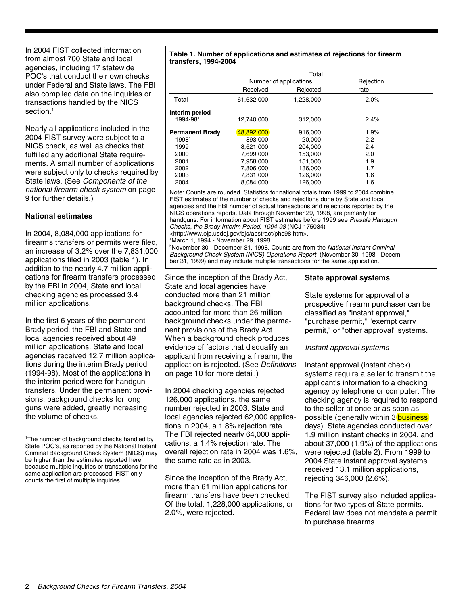In 2004 FIST collected information from almost 700 State and local agencies, including 17 statewide POC's that conduct their own checks under Federal and State laws. The FBI also compiled data on the inquiries or transactions handled by the NICS section.<sup>1</sup>

Nearly all applications included in the 2004 FIST survey were subject to a NICS check, as well as checks that fulfilled any additional State requirements. A small number of applications were subject only to checks required by State laws. (See Components of the national firearm check system on page 9 for further details.)

#### **National estimates**

In 2004, 8,084,000 applications for firearms transfers or permits were filed, an increase of 3.2% over the 7,831,000 applications filed in 2003 (table 1). In addition to the nearly 4.7 million applications for firearm transfers processed by the FBI in 2004, State and local checking agencies processed 3.4 million applications.

In the first 6 years of the permanent Brady period, the FBI and State and local agencies received about 49 million applications. State and local agencies received 12.7 million applications during the interim Brady period (1994-98). Most of the applications in the interim period were for handgun transfers. Under the permanent provisions, background checks for long guns were added, greatly increasing the volume of checks.

#### **Table 1. Number of applications and estimates of rejections for firearm transfers, 1994-2004**

|                          | Total      |                        |           |  |  |  |  |
|--------------------------|------------|------------------------|-----------|--|--|--|--|
|                          |            | Number of applications | Rejection |  |  |  |  |
|                          | Received   | Rejected               | rate      |  |  |  |  |
| Total                    | 61,632,000 | 1,228,000              | 2.0%      |  |  |  |  |
| Interim period           |            |                        |           |  |  |  |  |
| $1994 - 98$ <sup>a</sup> | 12.740.000 | 312,000                | 2.4%      |  |  |  |  |
| <b>Permanent Brady</b>   | 48,892,000 | 916,000                | 1.9%      |  |  |  |  |
| 1998 <sup>b</sup>        | 893.000    | 20,000                 | 2.2       |  |  |  |  |
| 1999                     | 8.621.000  | 204,000                | 2.4       |  |  |  |  |
| 2000                     | 7.699.000  | 153,000                | 2.0       |  |  |  |  |
| 2001                     | 7,958,000  | 151,000                | 1.9       |  |  |  |  |
| 2002                     | 7,806,000  | 136.000                | 1.7       |  |  |  |  |
| 2003                     | 7,831,000  | 126,000                | 1.6       |  |  |  |  |
| 2004                     | 8,084,000  | 126,000                | 1.6       |  |  |  |  |

Note: Counts are rounded. Statistics for national totals from 1999 to 2004 combine FIST estimates of the number of checks and rejections done by State and local agencies and the FBI number of actual transactions and rejections reported by the NICS operations reports. Data through November 29, 1998, are primarily for handguns. For information about FIST estimates before 1999 see Presale Handgun Checks, the Brady Interim Period, 1994-98 (NCJ 175034) <http://www.ojp.usdoj.gov/bjs/abstract/phc98.htm>. a March 1, 1994 - November 29, 1998.

<sup>b</sup>November 30 - December 31, 1998. Counts are from the National Instant Criminal Background Check System (NICS) Operations Report (November 30, 1998 - December 31, 1999) and may include multiple transactions for the same application.

Since the inception of the Brady Act, State and local agencies have conducted more than 21 million background checks. The FBI accounted for more than 26 million background checks under the permanent provisions of the Brady Act. When a background check produces evidence of factors that disqualify an applicant from receiving a firearm, the application is rejected. (See Definitions on page 10 for more detail.)

In 2004 checking agencies rejected 126,000 applications, the same number rejected in 2003. State and local agencies rejected 62,000 applications in 2004, a 1.8% rejection rate. The FBI rejected nearly 64,000 applications, a 1.4% rejection rate. The overall rejection rate in 2004 was 1.6%, the same rate as in 2003.

Since the inception of the Brady Act, more than 61 million applications for firearm transfers have been checked. Of the total, 1,228,000 applications, or 2.0%, were rejected.

#### **State approval systems**

State systems for approval of a prospective firearm purchaser can be classified as "instant approval," "purchase permit," "exempt carry permit," or "other approval" systems.

#### Instant approval systems

Instant approval (instant check) systems require a seller to transmit the applicant's information to a checking agency by telephone or computer. The checking agency is required to respond to the seller at once or as soon as possible (generally within 3 **business**) days). State agencies conducted over 1.9 million instant checks in 2004, and about 37,000 (1.9%) of the applications were rejected (table 2). From 1999 to 2004 State instant approval systems received 13.1 million applications, rejecting 346,000 (2.6%).

The FIST survey also included applications for two types of State permits. Federal law does not mandate a permit to purchase firearms.

<sup>1</sup> The number of background checks handled by State POC's, as reported by the National Instant Criminal Background Check System (NICS) may be higher than the estimates reported here because multiple inquiries or transactions for the same application are processed. FIST only counts the first of multiple inquiries.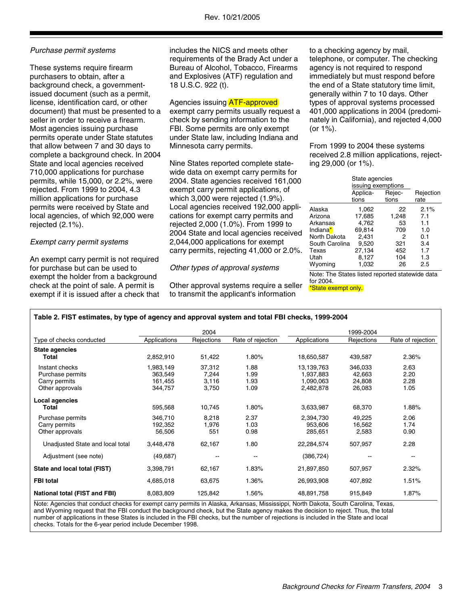#### Purchase permit systems

These systems require firearm purchasers to obtain, after a background check, a governmentissued document (such as a permit, license, identification card, or other document) that must be presented to a seller in order to receive a firearm. Most agencies issuing purchase permits operate under State statutes that allow between 7 and 30 days to complete a background check. In 2004 State and local agencies received 710,000 applications for purchase permits, while 15,000, or 2.2%, were rejected. From 1999 to 2004, 4.3 million applications for purchase permits were received by State and local agencies, of which 92,000 were rejected (2.1%).

#### Exempt carry permit systems

An exempt carry permit is not required for purchase but can be used to exempt the holder from a background check at the point of sale. A permit is exempt if it is issued after a check that includes the NICS and meets other requirements of the Brady Act under a Bureau of Alcohol, Tobacco, Firearms and Explosives (ATF) regulation and 18 U.S.C. 922 (t).

#### Agencies issuing **ATF-approved**

exempt carry permits usually request a check by sending information to the FBI. Some permits are only exempt under State law, including Indiana and Minnesota carry permits.

Nine States reported complete statewide data on exempt carry permits for 2004. State agencies received 161,000 exempt carry permit applications, of which 3,000 were rejected (1.9%). Local agencies received 192,000 applications for exempt carry permits and rejected 2,000 (1.0%). From 1999 to 2004 State and local agencies received 2,044,000 applications for exempt carry permits, rejecting 41,000 or 2.0%.

#### Other types of approval systems

Other approval systems require a seller to transmit the applicant's information

to a checking agency by mail, telephone, or computer. The checking agency is not required to respond immediately but must respond before the end of a State statutory time limit, generally within 7 to 10 days. Other types of approval systems processed 401,000 applications in 2004 (predominately in California), and rejected 4,000 (or 1%).

From 1999 to 2004 these systems received 2.8 million applications, rejecting 29,000 (or 1%).

|                        | State agencies<br>issuing exemptions<br>Applica-<br>tions | Rejection<br>rate |      |
|------------------------|-----------------------------------------------------------|-------------------|------|
|                        |                                                           | tions             |      |
| Alaska                 | 1,062                                                     | 22                | 2.1% |
| Arizona                | 17,685                                                    | 1,248             | 7.1  |
| Arkansas               | 4,762                                                     | 53                | 1.1  |
| Indiana <mark>*</mark> | 69,814                                                    | 709               | 1.0  |
| North Dakota           | 2,431                                                     | 2                 | 0.1  |
| South Carolina         | 9,520                                                     | 321               | 3.4  |
| Texas                  | 27,134                                                    | 452               | 1.7  |
| Utah                   | 8,127                                                     | 104               | 1.3  |
| Wyoming                | 1,032                                                     | 26                | 2.5  |

Note: The States listed reported statewide data for 2004.

\*State exempt only.

|  |  | Table 2. FIST estimates, by type of agency and approval system and total FBI checks, 1999-2004 |  |
|--|--|------------------------------------------------------------------------------------------------|--|
|  |  |                                                                                                |  |

|                                  |              | 2004                     |                   |              | 1999-2004  |                          |
|----------------------------------|--------------|--------------------------|-------------------|--------------|------------|--------------------------|
| Type of checks conducted         | Applications | Rejections               | Rate of rejection | Applications | Rejections | Rate of rejection        |
| State agencies                   |              |                          |                   |              |            |                          |
| Total                            | 2,852,910    | 51,422                   | 1.80%             | 18,650,587   | 439,587    | 2.36%                    |
| Instant checks                   | 1,983,149    | 37,312                   | 1.88              | 13,139,763   | 346,033    | 2.63                     |
| Purchase permits                 | 363,549      | 7,244                    | 1.99              | 1.937.883    | 42,663     | 2.20                     |
| Carry permits                    | 161,455      | 3,116                    | 1.93              | 1,090,063    | 24,808     | 2.28                     |
| Other approvals                  | 344,757      | 3,750                    | 1.09              | 2,482,878    | 26,083     | 1.05                     |
| Local agencies                   |              |                          |                   |              |            |                          |
| Total                            | 595,568      | 10,745                   | 1.80%             | 3,633,987    | 68,370     | 1.88%                    |
| Purchase permits                 | 346,710      | 8,218                    | 2.37              | 2,394,730    | 49,225     | 2.06                     |
| Carry permits                    | 192,352      | 1,976                    | 1.03              | 953,606      | 16,562     | 1.74                     |
| Other approvals                  | 56,506       | 551                      | 0.98              | 285,651      | 2,583      | 0.90                     |
| Unadjusted State and local total | 3,448,478    | 62,167                   | 1.80              | 22,284,574   | 507,957    | 2.28                     |
| Adjustment (see note)            | (49, 687)    | $\overline{\phantom{a}}$ | --                | (386, 724)   |            | $\overline{\phantom{a}}$ |
| State and local total (FIST)     | 3,398,791    | 62,167                   | 1.83%             | 21,897,850   | 507,957    | 2.32%                    |
| <b>FBI total</b>                 | 4,685,018    | 63,675                   | 1.36%             | 26,993,908   | 407,892    | 1.51%                    |
| National total (FIST and FBI)    | 8,083,809    | 125,842                  | 1.56%             | 48,891,758   | 915,849    | 1.87%                    |

Note: Agencies that conduct checks for exempt carry permits in Alaska, Arkansas, Mississippi, North Dakota, South Carolina, Texas, and Wyoming request that the FBI conduct the background check, but the State agency makes the decision to reject. Thus, the total number of applications in these States is included in the FBI checks, but the number of rejections is included in the State and local checks. Totals for the 6-year period include December 1998.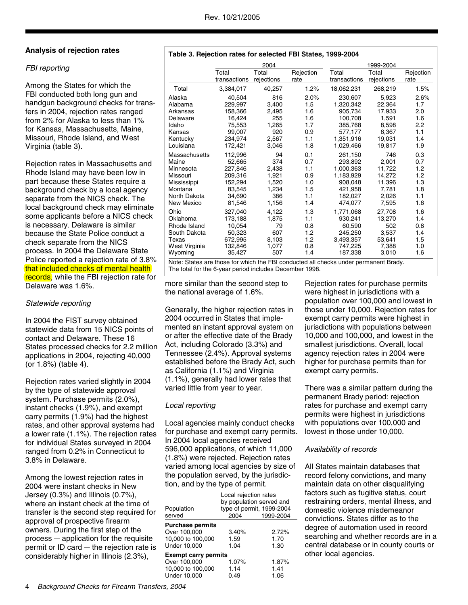#### **Analysis of rejection rates**

#### FBI reporting

Among the States for which the FBI conducted both long gun and handgun background checks for transfers in 2004, rejection rates ranged from 2% for Alaska to less than 1% for Kansas, Massachusetts, Maine, Missouri, Rhode Island, and West Virginia (table 3).

Rejection rates in Massachusetts and Rhode Island may have been low in part because these States require a background check by a local agency separate from the NICS check. The local background check may eliminate some applicants before a NICS check is necessary. Delaware is similar because the State Police conduct a check separate from the NICS process. In 2004 the Delaware State Police reported a rejection rate of 3.8% that included checks of mental health records, while the FBI rejection rate for Delaware was 1.6%.

#### Statewide reporting

In 2004 the FIST survey obtained statewide data from 15 NICS points of contact and Delaware. These 16 States processed checks for 2.2 million applications in 2004, rejecting 40,000 (or 1.8%) (table 4).

Rejection rates varied slightly in 2004 by the type of statewide approval system. Purchase permits (2.0%), instant checks (1.9%), and exempt carry permits (1.9%) had the highest rates, and other approval systems had a lower rate (1.1%). The rejection rates for individual States surveyed in 2004 ranged from 0.2% in Connecticut to 3.8% in Delaware.

Among the lowest rejection rates in 2004 were instant checks in New Jersey (0.3%) and Illinois (0.7%), where an instant check at the time of transfer is the second step required for approval of prospective firearm owners. During the first step of the  $process$  - application for the requisite permit or ID card  $-$  the rejection rate is considerably higher in Illinois (2.3%),

|               |                       | 2004                |                   |                       | 1999-2004           |                   |  |  |
|---------------|-----------------------|---------------------|-------------------|-----------------------|---------------------|-------------------|--|--|
|               | Total<br>transactions | Total<br>rejections | Rejection<br>rate | Total<br>transactions | Total<br>rejections | Rejection<br>rate |  |  |
| Total         | 3,384,017             | 40,257              | 1.2%              | 18,062,231            | 268,219             | 1.5%              |  |  |
| Alaska        | 40.504                | 816                 | 2.0%              | 230,607               | 5.923               | 2.6%              |  |  |
| Alabama       | 229,997               | 3,400               | 1.5               | 1,320,342             | 22,364              | 1.7               |  |  |
| Arkansas      | 158,366               | 2,495               | 1.6               | 905.734               | 17,933              | 2.0               |  |  |
| Delaware      | 16,424                | 255                 | 1.6               | 100,708               | 1,591               | 1.6               |  |  |
| Idaho         | 75.553                | 1,265               | 1.7               | 385,768               | 8.598               | 2.2               |  |  |
| Kansas        | 99,007                | 920                 | 0.9               | 577,177               | 6,367               | 1.1               |  |  |
| Kentucky      | 234.974               | 2.567               | 1.1               | 1.351.916             | 19.031              | 1.4               |  |  |
| Louisiana     | 172,421               | 3,046               | 1.8               | 1,029,466             | 19,817              | 1.9               |  |  |
| Massachusetts | 112,996               | 94                  | 0.1               | 261.150               | 746                 | 0.3               |  |  |
| Maine         | 52,665                | 374                 | 0.7               | 293,892               | 2,001               | 0.7               |  |  |
| Minnesota     | 227,846               | 2,438               | 1.1               | 1,000,363             | 11,722              | 1.2               |  |  |
| Missouri      | 209,316               | 1,921               | 0.9               | 1,183,929             | 14.272              | 1.2               |  |  |
| Mississippi   | 152,294               | 1,520               | 1.0               | 908,048               | 11,396              | 1.3               |  |  |
| Montana       | 83,545                | 1.234               | 1.5               | 421,958               | 7,781               | 1.8               |  |  |
| North Dakota  | 34,690                | 386                 | 1.1               | 182,027               | 2,026               | 1.1               |  |  |
| New Mexico    | 81,546                | 1,156               | 1.4               | 474,077               | 7,595               | 1.6               |  |  |
| Ohio          | 327,040               | 4,122               | 1.3               | 1,771,068             | 27,708              | 1.6               |  |  |
| Oklahoma      | 173,188               | 1,875               | 1.1               | 930.241               | 13,270              | 1.4               |  |  |
| Rhode Island  | 10.054                | 79                  | 0.8               | 60,590                | 502                 | 0.8               |  |  |
| South Dakota  | 50,323                | 607                 | 1.2               | 245.250               | 3,537               | 1.4               |  |  |
| Texas         | 672,995               | 8,103               | 1.2               | 3,493,357             | 53,641              | 1.5               |  |  |
| West Virginia | 132,846               | 1,077               | 0.8               | 747,225               | 7,388               | 1.0               |  |  |
| Wyoming       | 35,427                | 507                 | 1.4               | 187,338               | 3,010               | 1.6               |  |  |

Note: States are those for which the FBI conducted all checks under permanent Brady. The total for the 6-year period includes December 1998.

more similar than the second step to the national average of 1.6%.

Generally, the higher rejection rates in 2004 occurred in States that implemented an instant approval system on or after the effective date of the Brady Act, including Colorado (3.3%) and Tennessee (2.4%). Approval systems established before the Brady Act, such as California (1.1%) and Virginia (1.1%), generally had lower rates that varied little from year to year.

#### Local reporting

Local agencies mainly conduct checks for purchase and exempt carry permits. In 2004 local agencies received 596,000 applications, of which 11,000 (1.8%) were rejected. Rejection rates varied among local agencies by size of the population served, by the jurisdiction, and by the type of permit.

| Population<br>served        | Local rejection rates<br>2004 | by population served and<br>type of permit, 1999-2004<br>1999-2004 |
|-----------------------------|-------------------------------|--------------------------------------------------------------------|
|                             |                               |                                                                    |
| <b>Purchase permits</b>     |                               |                                                                    |
| Over 100,000                | 3.40%                         | 2.72%                                                              |
| 10,000 to 100,000           | 1.59                          | 1.70                                                               |
| Under 10.000                | 1.04                          | 1.30                                                               |
| <b>Exempt carry permits</b> |                               |                                                                    |
| Over 100,000                | 1.07%                         | 1.87%                                                              |
| 10,000 to 100,000           | 1.14                          | 1.41                                                               |
| Under 10.000                | 0.49                          | 1.06                                                               |

Rejection rates for purchase permits were highest in jurisdictions with a population over 100,000 and lowest in those under 10,000. Rejection rates for exempt carry permits were highest in jurisdictions with populations between 10,000 and 100,000, and lowest in the smallest jurisdictions. Overall, local agency rejection rates in 2004 were higher for purchase permits than for exempt carry permits.

There was a similar pattern during the permanent Brady period: rejection rates for purchase and exempt carry permits were highest in jurisdictions with populations over 100,000 and lowest in those under 10,000.

#### Availability of records

All States maintain databases that record felony convictions, and many maintain data on other disqualifying factors such as fugitive status, court restraining orders, mental illness, and domestic violence misdemeanor convictions. States differ as to the degree of automation used in record searching and whether records are in a central database or in county courts or other local agencies.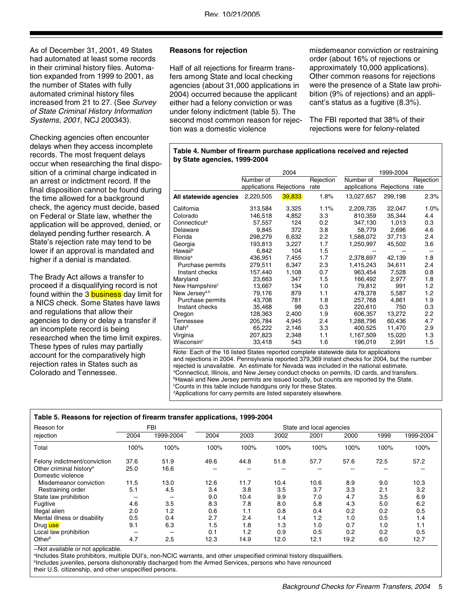As of December 31, 2001, 49 States had automated at least some records in their criminal history files. Automation expanded from 1999 to 2001, as the number of States with fully automated criminal history files increased from 21 to 27. (See Survey of State Criminal History Information Systems, 2001, NCJ 200343).

Checking agencies often encounter delays when they access incomplete records. The most frequent delays occur when researching the final disposition of a criminal charge indicated in an arrest or indictment record. If the final disposition cannot be found during the time allowed for a background check, the agency must decide, based on Federal or State law, whether the application will be approved, denied, or delayed pending further research. A State's rejection rate may tend to be lower if an approval is mandated and higher if a denial is mandated.

The Brady Act allows a transfer to proceed if a disqualifying record is not found within the 3 **business** day limit for a NICS check. Some States have laws and regulations that allow their agencies to deny or delay a transfer if an incomplete record is being researched when the time limit expires. These types of rules may partially account for the comparatively high rejection rates in States such as Colorado and Tennessee.

#### **Reasons for rejection**

Half of all rejections for firearm transfers among State and local checking agencies (about 31,000 applications in 2004) occurred because the applicant either had a felony conviction or was under felony indictment (table 5). The second most common reason for rejection was a domestic violence

misdemeanor conviction or restraining order (about 16% of rejections or approximately 10,000 applications). Other common reasons for rejections were the presence of a State law prohibition (9% of rejections) and an applicant's status as a fugitive (8.3%).

The FBI reported that 38% of their rejections were for felony-related

#### **Table 4. Number of firearm purchase applications received and rejected by State agencies, 1999-2004**

|                            |                         | 2004   |           |              | 1999-2004  |                  |
|----------------------------|-------------------------|--------|-----------|--------------|------------|------------------|
|                            | Number of               |        | Rejection | Number of    |            | Rejection        |
|                            | applications Rejections |        | rate      | applications | Rejections | rate             |
| All statewide agencies     | 2,220,505               | 39,833 | 1.8%      | 13,027,657   | 299,198    | 2.3%             |
| California                 | 313,584                 | 3,325  | 1.1%      | 2,209,735    | 22,047     | 1.0%             |
| Colorado                   | 146,518                 | 4,852  | 3.3       | 810,359      | 35,344     | 4.4              |
| Connecticut <sup>a</sup>   | 57,557                  | 124    | 0.2       | 347,130      | 1.013      | 0.3              |
| Delaware                   | 9,845                   | 372    | 3.8       | 58,779       | 2,696      | 4.6              |
| Florida                    | 298,279                 | 6,632  | 2.2       | 1,588,072    | 37,713     | 2.4              |
| Georgia                    | 193,813                 | 3,227  | 1.7       | 1,250,997    | 45,502     | 3.6              |
| Hawaiib                    | 6.842                   | 104    | 1.5       |              |            |                  |
| Illinois <sup>a</sup>      | 436,951                 | 7,455  | 1.7       | 2,378,697    | 42,139     | 1.8              |
| Purchase permits           | 279,511                 | 6,347  | 2.3       | 1,415,243    | 34,611     | 2.4              |
| Instant checks             | 157,440                 | 1,108  | 0.7       | 963,454      | 7,528      | 0.8              |
| Maryland                   | 23.663                  | 347    | 1.5       | 166,492      | 2,977      | 1.8              |
| New Hampshire <sup>c</sup> | 13,667                  | 134    | 1.0       | 79,812       | 991        | 1.2              |
| New Jersey <sup>a,b</sup>  | 79,176                  | 879    | 1.1       | 478.378      | 5.587      | $1.2^{\circ}$    |
| Purchase permits           | 43,708                  | 781    | 1.8       | 257,768      | 4,861      | 1.9              |
| Instant checks             | 35,468                  | 98     | 0.3       | 220,610      | 750        | 0.3              |
| Oregon                     | 128,363                 | 2,400  | 1.9       | 606,357      | 13,272     | $2.2\phantom{0}$ |
| Tennessee                  | 205,784                 | 4,945  | 2.4       | 1,288,796    | 60,436     | 4.7              |
| Utah <sup>d</sup>          | 65,222                  | 2,146  | 3.3       | 400,525      | 11,470     | 2.9              |
| Virginia                   | 207,823                 | 2,348  | 1.1       | 1,167,509    | 15,020     | 1.3              |
| Wisconsin <sup>c</sup>     | 33,418                  | 543    | 1.6       | 196,019      | 2,991      | 1.5              |

Note: Each of the 16 listed States reported complete statewide data for applications and rejections in 2004. Pennsylvania reported 379,369 instant checks for 2004, but the number rejected is unavailable. An estimate for Nevada was included in the national estimate. a Connecticut, Illinois, and New Jersey conduct checks on permits, ID cards, and transfers. <sup>b</sup>Hawaii and New Jersey permits are issued locally, but counts are reported by the State. c Counts in this table include handguns only for these States. d Applications for carry permits are listed separately elsewhere.

#### **Table 5. Reasons for rejection of firearm transfer applications, 1999-2004**

| Reason for                          | <b>FBI</b> |           | State and local agencies |      |      |      |      |      |           |
|-------------------------------------|------------|-----------|--------------------------|------|------|------|------|------|-----------|
| rejection                           | 2004       | 1999-2004 | 2004                     | 2003 | 2002 | 2001 | 2000 | 1999 | 1999-2004 |
| Total                               | 100%       | 100%      | 100%                     | 100% | 100% | 100% | 100% | 100% | 100%      |
| Felony indictment/conviction        | 37.6       | 51.9      | 49.6                     | 44.8 | 51.8 | 57.7 | 57.6 | 72.5 | 57.2      |
| Other criminal history <sup>a</sup> | 25.0       | 16.6      | --                       | --   | --   | --   |      |      |           |
| Domestic violence                   |            |           |                          |      |      |      |      |      |           |
| Misdemeanor conviction              | 11.5       | 13.0      | 12.6                     | 11.7 | 10.4 | 10.6 | 8.9  | 9.0  | 10.3      |
| Restraining order                   | 5.1        | 4.5       | 3.4                      | 3.8  | 3.5  | 3.7  | 3.3  | 2.1  | 3.2       |
| State law prohibition               | --         | $- -$     | 9.0                      | 10.4 | 9.9  | 7.0  | 4.7  | 3.5  | 6.9       |
| Fugitive                            | 4.6        | 3.5       | 8.3                      | 7.8  | 8.0  | 5.8  | 4.3  | 5.0  | 6.2       |
| Illegal alien                       | 2.0        | 1.2       | 0.6                      | 1.1  | 0.8  | 0.4  | 0.2  | 0.2  | 0.5       |
| Mental illness or disability        | 0.5        | 0.4       | 2.7                      | 2.4  | 1.4  | 1.2  | 1.0  | 0.5  | 1.4       |
| Druguse                             | 9.1        | 6.3       | 1.5                      | 1.8  | 1.3  | 1.0  | 0.7  | 1.0  | 1.1       |
| Local law prohibition               | --         | $- -$     | 0.1                      | 1.2  | 0.9  | 0.5  | 0.2  | 0.2  | 0.5       |
| Other <sup>b</sup>                  | 4.7        | 2.5       | 12.3                     | 14.9 | 12.0 | 12.1 | 19.2 | 6.0  | 12.7      |

--Not available or not applicable.

<sup>a</sup>Includes State prohibitors, multiple DUI's, non-NCIC warrants, and other unspecified criminal history disqualifiers. <sup>b</sup>Includes juveniles, persons dishonorably discharged from the Armed Services, persons who have renounced their U.S. citizenship, and other unspecified persons.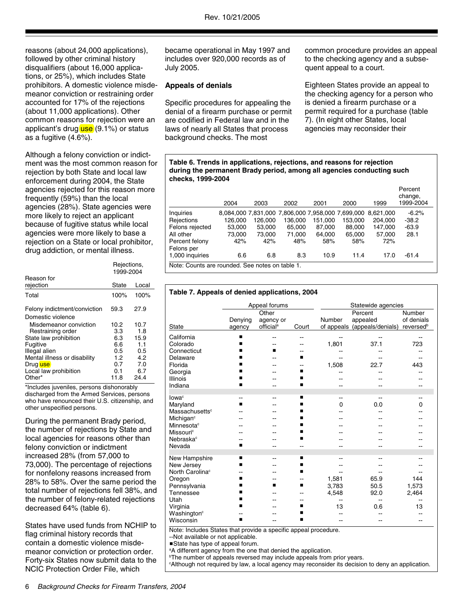reasons (about 24,000 applications), followed by other criminal history disqualifiers (about 16,000 applications, or 25%), which includes State prohibitors. A domestic violence misdemeanor conviction or restraining order accounted for 17% of the rejections (about 11,000 applications). Other common reasons for rejection were an applicant's drug  $use(9.1%)$  or status as a fugitive (4.6%).

Although a felony conviction or indictment was the most common reason for rejection by both State and local law enforcement during 2004, the State agencies rejected for this reason more frequently (59%) than the local agencies (28%). State agencies were more likely to reject an applicant because of fugitive status while local agencies were more likely to base a rejection on a State or local prohibitor, drug addiction, or mental illness.

|                                                   | Rejections,<br>1999-2004 |             |  |
|---------------------------------------------------|--------------------------|-------------|--|
| Reason for<br>rejection                           | State                    | Local       |  |
| Total                                             | 100%                     | 100%        |  |
| Felony indictment/conviction<br>Domestic violence | 59.3                     | 27.9        |  |
| Misdemeanor conviction<br>Restraining order       | 10.2<br>3.3              | 10.7<br>1.8 |  |
| State law prohibition<br>Fugitive                 | 6.3<br>6.6               | 15.9<br>1.1 |  |
| Illegal alien<br>Mental illness or disability     | 0.5<br>1.2               | 0.5<br>4.2  |  |
| Drug use<br>Local law prohibition                 | 0.7<br>0.1               | 7.0<br>6.7  |  |
| Other*                                            | 11.8                     | 24.4        |  |

\*Includes juveniles, persons dishonorably discharged from the Armed Services, persons who have renounced their U.S. citizenship, and other unspecified persons.

During the permanent Brady period, the number of rejections by State and local agencies for reasons other than felony conviction or indictment increased 28% (from 57,000 to 73,000). The percentage of rejections for nonfelony reasons increased from 28% to 58%. Over the same period the total number of rejections fell 38%, and the number of felony-related rejections decreased 64% (table 6).

States have used funds from NCHIP to flag criminal history records that contain a domestic violence misdemeanor conviction or protection order. Forty-six States now submit data to the NCIC Protection Order File, which

became operational in May 1997 and includes over 920,000 records as of July 2005.

#### **Appeals of denials**

Specific procedures for appealing the denial of a firearm purchase or permit are codified in Federal law and in the laws of nearly all States that process background checks. The most

common procedure provides an appeal to the checking agency and a subsequent appeal to a court.

Eighteen States provide an appeal to the checking agency for a person who is denied a firearm purchase or a permit required for a purchase (table 7). (In eight other States, local agencies may reconsider their

#### **Table 6. Trends in applications, rejections, and reasons for rejection during the permanent Brady period, among all agencies conducting such checks, 1999-2004**

|                                                 | 2004                                              | 2003    | 2002    | 2001    | 2000    | 1999      | Percent<br>change,<br>1999-2004 |  |
|-------------------------------------------------|---------------------------------------------------|---------|---------|---------|---------|-----------|---------------------------------|--|
| Inquiries                                       | 8.084.000 7.831.000 7.806.000 7.958.000 7.699.000 |         |         |         |         | 8.621.000 | $-6.2\%$                        |  |
| Rejections                                      | 126,000                                           | 126,000 | 136,000 | 151,000 | 153,000 | 204,000   | $-38.2$                         |  |
| Felons rejected                                 | 53.000                                            | 53,000  | 65.000  | 87.000  | 88,000  | 147.000   | $-63.9$                         |  |
| All other                                       | 73.000                                            | 73.000  | 71.000  | 64.000  | 65,000  | 57.000    | 28.1                            |  |
| Percent felony                                  | 42%                                               | 42%     | 48%     | 58%     | 58%     | 72%       |                                 |  |
| Felons per                                      |                                                   |         |         |         |         |           |                                 |  |
| 1,000 inquiries                                 | 6.6                                               | 6.8     | 8.3     | 10.9    | 11.4    | 17.0      | $-61.4$                         |  |
| Note: Counts are rounded. See notes on table 1. |                                                   |         |         |         |         |           |                                 |  |

#### **Table 7. Appeals of denied applications, 2004**

|                                     | Appeal forums |                       |         | Statewide agencies |                              |                       |  |
|-------------------------------------|---------------|-----------------------|---------|--------------------|------------------------------|-----------------------|--|
|                                     |               | Other                 |         | Percent            |                              | Number                |  |
|                                     | Denying       | agency or             |         | Number             | appealed                     | of denials            |  |
| State                               | agency        | official <sup>a</sup> | Court   |                    | of appeals (appeals/denials) | reversed <sup>b</sup> |  |
| California                          | ■             |                       | --      |                    | --                           | --                    |  |
| Colorado                            | ■             |                       |         | 1,801              | 37.1                         | 723                   |  |
| Connecticut                         | ▬             | ▪                     |         |                    |                              |                       |  |
| Delaware                            | ■             |                       | ■       |                    |                              |                       |  |
| Florida                             | ■             |                       | --      | 1,508              | 22.7                         | 443                   |  |
| Georgia                             | ■             |                       | ■       |                    |                              |                       |  |
| <b>Illinois</b>                     | ▪             |                       | ■       |                    |                              |                       |  |
| Indiana                             | ■             |                       | ■       | --                 |                              |                       |  |
| lowa <sup>c</sup>                   |               |                       | ■       |                    |                              |                       |  |
| Maryland                            | --<br>п       |                       | ■       | --<br>0            | 0.0                          | 0                     |  |
| Massachusetts <sup>c</sup>          |               |                       | ■       |                    |                              |                       |  |
| Michigan <sup>c</sup>               |               |                       | ■       |                    |                              |                       |  |
| Minnesota <sup>c</sup>              |               |                       | ■       |                    |                              |                       |  |
| Missouri <sup>c</sup>               |               |                       | п       |                    |                              |                       |  |
| Nebraska <sup>c</sup>               |               |                       | ■       |                    |                              |                       |  |
| Nevada                              | п             |                       |         |                    |                              |                       |  |
|                                     |               |                       |         |                    |                              |                       |  |
| New Hampshire                       | ■             |                       | ■       | --                 |                              |                       |  |
| New Jersey                          | ■             |                       | ▬       |                    |                              |                       |  |
| North Carolina <sup>c</sup>         |               |                       | ■       |                    |                              |                       |  |
| Oregon                              | п<br>■        | ■                     | --<br>п | 1,581              | 65.9                         | 144                   |  |
| Pennsylvania                        | ■             |                       |         | 3,783              | 50.5                         | 1,573                 |  |
| Tennessee<br>Utah                   | ■             |                       | --      | 4,548              | 92.0                         | 2,464                 |  |
|                                     | ▪             |                       | --      | --<br>13           | 0.6                          | --<br>13              |  |
| Virginia<br>Washington <sup>c</sup> |               |                       | ■       |                    |                              |                       |  |
| Wisconsin                           | ■             |                       | ■       | --                 |                              |                       |  |

Note: Includes States that provide a specific appeal procedure.

--Not available or not applicable.

State has type of appeal forum.

<sup>a</sup>A different agency from the one that denied the application.

<sup>b</sup>The number of appeals reversed may include appeals from prior years.

c Although not required by law, a local agency may reconsider its decision to deny an application.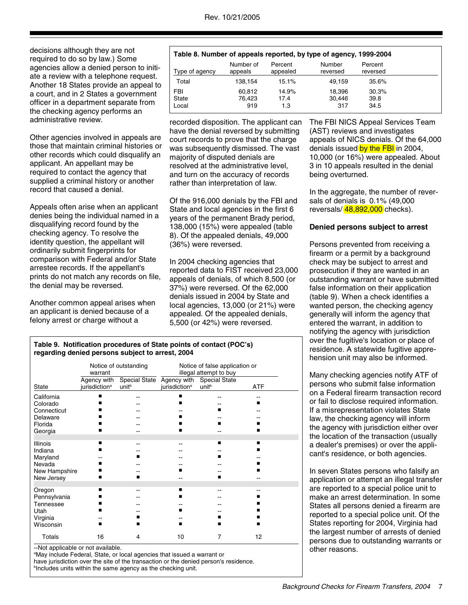decisions although they are not required to do so by law.) Some agencies allow a denied person to initiate a review with a telephone request. Another 18 States provide an appeal to a court, and in 2 States a government officer in a department separate from the checking agency performs an administrative review.

Other agencies involved in appeals are those that maintain criminal histories or other records which could disqualify an applicant. An appellant may be required to contact the agency that supplied a criminal history or another record that caused a denial.

Appeals often arise when an applicant denies being the individual named in a disqualifying record found by the checking agency. To resolve the identity question, the appellant will ordinarily submit fingerprints for comparison with Federal and/or State arrestee records. If the appellant's prints do not match any records on file, the denial may be reversed.

Another common appeal arises when an applicant is denied because of a felony arrest or charge without a

#### Local 919 1.3 317 34.5 State 76,423 17.4 30,446 39.8 FBI 60,812 14.9% 18,396 30.3% Total 138,154 15.1% 49,159 35.6% Percent reversed Number reversed Percent appealed Number of<br>appeals Type of agency **Table 8. Number of appeals reported, by type of agency, 1999-2004**

recorded disposition. The applicant can have the denial reversed by submitting court records to prove that the charge was subsequently dismissed. The vast majority of disputed denials are resolved at the administrative level, and turn on the accuracy of records rather than interpretation of law.

Of the 916,000 denials by the FBI and State and local agencies in the first 6 years of the permanent Brady period, 138,000 (15%) were appealed (table 8). Of the appealed denials, 49,000 (36%) were reversed.

In 2004 checking agencies that reported data to FIST received 23,000 appeals of denials, of which 8,500 (or 37%) were reversed. Of the 62,000 denials issued in 2004 by State and local agencies, 13,000 (or 21%) were appealed. Of the appealed denials, 5,500 (or 42%) were reversed.

The FBI NICS Appeal Services Team (AST) reviews and investigates appeals of NICS denials. Of the 64,000 denials issued by the FBI in 2004, 10,000 (or 16%) were appealed. About 3 in 10 appeals resulted in the denial being overturned.

In the aggregate, the number of reversals of denials is 0.1% (49,000 reversals/ $\frac{48,892,000}{48,000}$ checks).

#### **Denied persons subject to arrest**

Persons prevented from receiving a firearm or a permit by a background check may be subject to arrest and prosecution if they are wanted in an outstanding warrant or have submitted false information on their application (table 9). When a check identifies a wanted person, the checking agency generally will inform the agency that entered the warrant, in addition to notifying the agency with jurisdiction over the fugitive's location or place of residence. A statewide fugitive apprehension unit may also be informed.

Many checking agencies notify ATF of persons who submit false information on a Federal firearm transaction record or fail to disclose required information. If a misrepresentation violates State law, the checking agency will inform the agency with jurisdiction either over the location of the transaction (usually a dealer's premises) or over the applicant's residence, or both agencies.

In seven States persons who falsify an application or attempt an illegal transfer are reported to a special police unit to make an arrest determination. In some States all persons denied a firearm are reported to a special police unit. Of the States reporting for 2004, Virginia had the largest number of arrests of denied persons due to outstanding warrants or other reasons.

#### **Table 9. Notification procedures of State points of contact (POC's) regarding denied persons subject to arrest, 2004**

|                            | Notice of outstanding<br>warrant |                                                              | Notice of false application or<br>illegal attempt to buy |                   |            |
|----------------------------|----------------------------------|--------------------------------------------------------------|----------------------------------------------------------|-------------------|------------|
| State                      | Agency with<br>jurisdictionª     | Special State Agency with Special State<br>unit <sup>b</sup> | jurisdictionª                                            | unit <sup>b</sup> | <b>ATF</b> |
| California                 | ■                                |                                                              | ■                                                        |                   |            |
| Colorado                   |                                  |                                                              | ■                                                        |                   | ٠          |
| Connecticut<br>Delaware    |                                  |                                                              | ■                                                        | ■                 |            |
| Florida                    |                                  |                                                              |                                                          | ■                 |            |
| Georgia                    |                                  |                                                              | ■                                                        |                   |            |
|                            |                                  |                                                              |                                                          | п                 | ■          |
| <b>Illinois</b><br>Indiana | ■                                |                                                              |                                                          |                   |            |
| Maryland                   |                                  |                                                              |                                                          | ■                 |            |
| Nevada                     |                                  |                                                              |                                                          |                   |            |
| New Hampshire              |                                  |                                                              | ■                                                        |                   |            |
| New Jersey                 |                                  |                                                              |                                                          | ■                 |            |
| Oregon                     | ■                                |                                                              | ■                                                        |                   |            |
| Pennsylvania               |                                  |                                                              | ■                                                        |                   |            |
| Tennessee                  |                                  |                                                              |                                                          |                   |            |
| Utah                       |                                  |                                                              | ■                                                        |                   |            |
| Virginia<br>Wisconsin      |                                  |                                                              | ■                                                        |                   |            |
| Totals                     | 16                               | 4                                                            | 10                                                       | 7                 | 12         |

--Not applicable or not available.

<sup>a</sup>May include Federal, State, or local agencies that issued a warrant or have jurisdiction over the site of the transaction or the denied person's residence. **bIncludes units within the same agency as the checking unit.**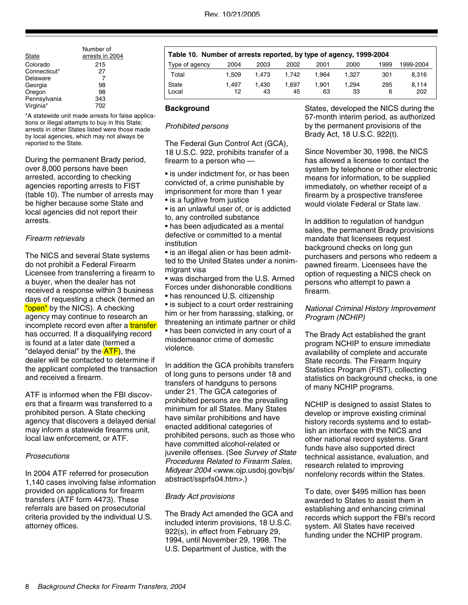| State                    | Number of<br>arrests in 2004 | Table 10. Number of arrests reported, by type of agency, 1999-2004 |       |       |       |      |       |      |                                       |
|--------------------------|------------------------------|--------------------------------------------------------------------|-------|-------|-------|------|-------|------|---------------------------------------|
| Colorado                 | 215                          | Type of agency                                                     | 2004  | 2003  | 2002  | 2001 | 2000  | 1999 | 1999-2004                             |
| Connecticut*<br>Delaware | 27                           | Total                                                              | .509  | 1.473 | 1.742 | .964 | 1.327 | 301  | 8.316                                 |
| Georgia                  | 98                           | State                                                              | 1.497 | .430  | .697  | .901 | 1.294 | 295  | 8.114                                 |
| Oregon                   | 98                           | Local                                                              | 12    | 43    | 45    | 63   | 33    | 6    | 202                                   |
| Pennsylvania             | 343                          |                                                                    |       |       |       |      |       |      |                                       |
| Virginia*                | 702                          | De aleman con al                                                   |       |       |       |      |       |      | Chates, developed the NICC during the |

\*A statewide unit made arrests for false applications or illegal attempts to buy in this State; arrests in other States listed were those made by local agencies, which may not always be reported to the State.

During the permanent Brady period, over 8,000 persons have been arrested, according to checking agencies reporting arrests to FIST (table 10). The number of arrests may be higher because some State and local agencies did not report their arrests.

#### Firearm retrievals

The NICS and several State systems do not prohibit a Federal Firearm Licensee from transferring a firearm to a buyer, when the dealer has not received a response within 3 business days of requesting a check (termed an "open" by the NICS). A checking agency may continue to research an incomplete record even after a transfer has occurred. If a disqualifying record is found at a later date (termed a "delayed denial" by the **ATF**), the dealer will be contacted to determine if the applicant completed the transaction and received a firearm.

ATF is informed when the FBI discovers that a firearm was transferred to a prohibited person. A State checking agency that discovers a delayed denial may inform a statewide firearms unit, local law enforcement, or ATF.

#### **Prosecutions**

In 2004 ATF referred for prosecution 1,140 cases involving false information provided on applications for firearm transfers (ATF form 4473). These referrals are based on prosecutorial criteria provided by the individual U.S. attorney offices.

#### **Background**

#### Prohibited persons

The Federal Gun Control Act (GCA), 18 U.S.C. 922, prohibits transfer of a firearm to a person who —

• is under indictment for, or has been convicted of, a crime punishable by imprisonment for more than 1 year • is a fugitive from justice

• is an unlawful user of, or is addicted to, any controlled substance

• has been adjudicated as a mental defective or committed to a mental institution

• is an illegal alien or has been admitted to the United States under a nonimmigrant visa

• was discharged from the U.S. Armed Forces under dishonorable conditions

• has renounced U.S. citizenship

• is subject to a court order restraining him or her from harassing, stalking, or threatening an intimate partner or child • has been convicted in any court of a misdemeanor crime of domestic violence.

In addition the GCA prohibits transfers of long guns to persons under 18 and transfers of handguns to persons under 21. The GCA categories of prohibited persons are the prevailing minimum for all States. Many States have similar prohibitions and have enacted additional categories of prohibited persons, such as those who have committed alcohol-related or juvenile offenses. (See Survey of State Procedures Related to Firearm Sales, Midyear 2004 <www.ojp.usdoj.gov/bjs/ abstract/ssprfs04.htm>.)

#### Brady Act provisions

The Brady Act amended the GCA and included interim provisions, 18 U.S.C. 922(s), in effect from February 29, 1994, until November 29, 1998. The U.S. Department of Justice, with the

States, developed the NICS during the 57-month interim period, as authorized by the permanent provisions of the Brady Act, 18 U.S.C. 922(t).

Since November 30, 1998, the NICS has allowed a licensee to contact the system by telephone or other electronic means for information, to be supplied immediately, on whether receipt of a firearm by a prospective transferee would violate Federal or State law.

In addition to regulation of handgun sales, the permanent Brady provisions mandate that licensees request background checks on long gun purchasers and persons who redeem a pawned firearm. Licensees have the option of requesting a NICS check on persons who attempt to pawn a firearm.

#### National Criminal History Improvement Program (NCHIP)

The Brady Act established the grant program NCHIP to ensure immediate availability of complete and accurate State records. The Firearm Inquiry Statistics Program (FIST), collecting statistics on background checks, is one of many NCHIP programs.

NCHIP is designed to assist States to develop or improve existing criminal history records systems and to establish an interface with the NICS and other national record systems. Grant funds have also supported direct technical assistance, evaluation, and research related to improving nonfelony records within the States.

To date, over \$495 million has been awarded to States to assist them in establishing and enhancing criminal records which support the FBI's record system. All States have received funding under the NCHIP program.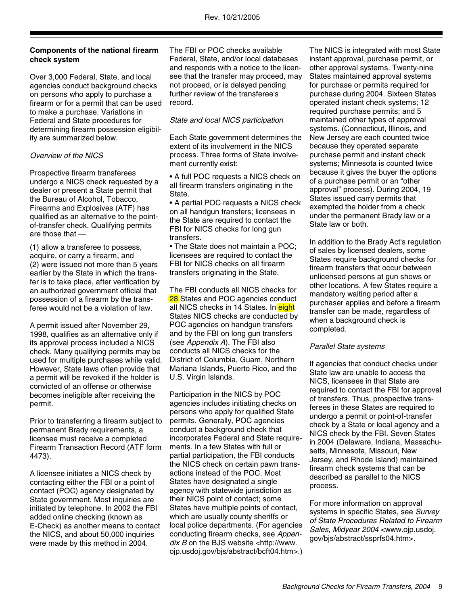#### **Components of the national firearm check system**

Over 3,000 Federal, State, and local agencies conduct background checks on persons who apply to purchase a firearm or for a permit that can be used to make a purchase. Variations in Federal and State procedures for determining firearm possession eligibility are summarized below.

#### Overview of the NICS

Prospective firearm transferees undergo a NICS check requested by a dealer or present a State permit that the Bureau of Alcohol, Tobacco, Firearms and Explosives (ATF) has qualified as an alternative to the pointof-transfer check. Qualifying permits are those that —

(1) allow a transferee to possess, acquire, or carry a firearm, and (2) were issued not more than 5 years earlier by the State in which the transfer is to take place, after verification by an authorized government official that possession of a firearm by the transferee would not be a violation of law.

A permit issued after November 29, 1998, qualifies as an alternative only if its approval process included a NICS check. Many qualifying permits may be used for multiple purchases while valid. However, State laws often provide that a permit will be revoked if the holder is convicted of an offense or otherwise becomes ineligible after receiving the permit.

Prior to transferring a firearm subject to permanent Brady requirements, a licensee must receive a completed Firearm Transaction Record (ATF form 4473).

A licensee initiates a NICS check by contacting either the FBI or a point of contact (POC) agency designated by State government. Most inquiries are initiated by telephone. In 2002 the FBI added online checking (known as E-Check) as another means to contact the NICS, and about 50,000 inquiries were made by this method in 2004.

The FBI or POC checks available Federal, State, and/or local databases and responds with a notice to the licensee that the transfer may proceed, may not proceed, or is delayed pending further review of the transferee's record.

#### State and local NICS participation

Each State government determines the extent of its involvement in the NICS process. Three forms of State involvement currently exist:

• A full POC requests a NICS check on all firearm transfers originating in the State.

• A partial POC requests a NICS check on all handgun transfers; licensees in the State are required to contact the FBI for NICS checks for long gun transfers.

• The State does not maintain a POC; licensees are required to contact the FBI for NICS checks on all firearm transfers originating in the State.

The FBI conducts all NICS checks for 28 States and POC agencies conduct all NICS checks in 14 States. In eight States NICS checks are conducted by POC agencies on handgun transfers and by the FBI on long gun transfers (see Appendix A). The FBI also conducts all NICS checks for the District of Columbia, Guam, Northern Mariana Islands, Puerto Rico, and the U.S. Virgin Islands.

Participation in the NICS by POC agencies includes initiating checks on persons who apply for qualified State permits. Generally, POC agencies conduct a background check that incorporates Federal and State requirements. In a few States with full or partial participation, the FBI conducts the NICS check on certain pawn transactions instead of the POC. Most States have designated a single agency with statewide jurisdiction as their NICS point of contact; some States have multiple points of contact, which are usually county sheriffs or local police departments. (For agencies conducting firearm checks, see Appendix B on the BJS website <http://www. ojp.usdoj.gov/bjs/abstract/bcft04.htm>.)

The NICS is integrated with most State instant approval, purchase permit, or other approval systems. Twenty-nine States maintained approval systems for purchase or permits required for purchase during 2004. Sixteen States operated instant check systems; 12 required purchase permits; and 5 maintained other types of approval systems. (Connecticut, Illinois, and New Jersey are each counted twice because they operated separate purchase permit and instant check systems; Minnesota is counted twice because it gives the buyer the options of a purchase permit or an "other approval" process). During 2004, 19 States issued carry permits that exempted the holder from a check under the permanent Brady law or a State law or both.

In addition to the Brady Act's regulation of sales by licensed dealers, some States require background checks for firearm transfers that occur between unlicensed persons at gun shows or other locations. A few States require a mandatory waiting period after a purchaser applies and before a firearm transfer can be made, regardless of when a background check is completed.

#### Parallel State systems

If agencies that conduct checks under State law are unable to access the NICS, licensees in that State are required to contact the FBI for approval of transfers. Thus, prospective transferees in these States are required to undergo a permit or point-of-transfer check by a State or local agency and a NICS check by the FBI. Seven States in 2004 (Delaware, Indiana, Massachusetts, Minnesota, Missouri, New Jersey, and Rhode Island) maintained firearm check systems that can be described as parallel to the NICS process.

For more information on approval systems in specific States, see Survey of State Procedures Related to Firearm Sales, Midyear 2004 <www.ojp.usdoj. gov/bjs/abstract/ssprfs04.htm>.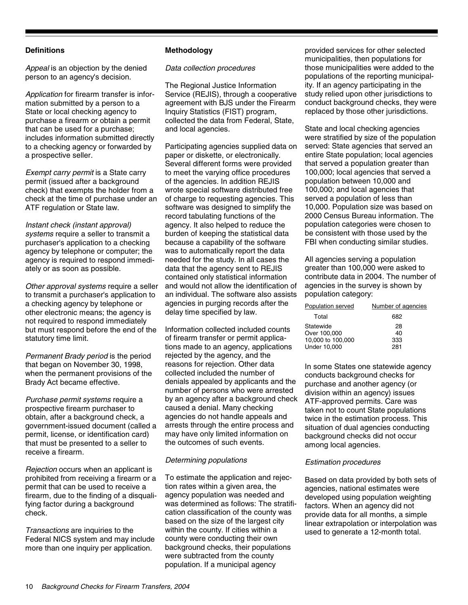#### **Definitions**

Appeal is an objection by the denied person to an agency's decision.

Application for firearm transfer is information submitted by a person to a State or local checking agency to purchase a firearm or obtain a permit that can be used for a purchase; includes information submitted directly to a checking agency or forwarded by a prospective seller.

Exempt carry permit is a State carry permit (issued after a background check) that exempts the holder from a check at the time of purchase under an ATF regulation or State law.

Instant check (instant approval) systems require a seller to transmit a purchaser's application to a checking agency by telephone or computer; the agency is required to respond immediately or as soon as possible.

Other approval systems require a seller to transmit a purchaser's application to a checking agency by telephone or other electronic means; the agency is not required to respond immediately but must respond before the end of the statutory time limit.

Permanent Brady period is the period that began on November 30, 1998, when the permanent provisions of the Brady Act became effective.

Purchase permit systems require a prospective firearm purchaser to obtain, after a background check, a government-issued document (called a permit, license, or identification card) that must be presented to a seller to receive a firearm.

Rejection occurs when an applicant is prohibited from receiving a firearm or a permit that can be used to receive a firearm, due to the finding of a disqualifying factor during a background check.

Transactions are inquiries to the Federal NICS system and may include more than one inquiry per application.

#### **Methodology**

Data collection procedures

The Regional Justice Information Service (REJIS), through a cooperative agreement with BJS under the Firearm Inquiry Statistics (FIST) program, collected the data from Federal, State, and local agencies.

Participating agencies supplied data on paper or diskette, or electronically. Several different forms were provided to meet the varying office procedures of the agencies. In addition REJIS wrote special software distributed free of charge to requesting agencies. This software was designed to simplify the record tabulating functions of the agency. It also helped to reduce the burden of keeping the statistical data because a capability of the software was to automatically report the data needed for the study. In all cases the data that the agency sent to REJIS contained only statistical information and would not allow the identification of an individual. The software also assists agencies in purging records after the delay time specified by law.

Information collected included counts of firearm transfer or permit applications made to an agency, applications rejected by the agency, and the reasons for rejection. Other data collected included the number of denials appealed by applicants and the number of persons who were arrested by an agency after a background check caused a denial. Many checking agencies do not handle appeals and arrests through the entire process and may have only limited information on the outcomes of such events.

#### Determining populations

To estimate the application and rejection rates within a given area, the agency population was needed and was determined as follows: The stratification classification of the county was based on the size of the largest city within the county. If cities within a county were conducting their own background checks, their populations were subtracted from the county population. If a municipal agency

provided services for other selected municipalities, then populations for those municipalities were added to the populations of the reporting municipality. If an agency participating in the study relied upon other jurisdictions to conduct background checks, they were replaced by those other jurisdictions.

State and local checking agencies were stratified by size of the population served: State agencies that served an entire State population; local agencies that served a population greater than 100,000; local agencies that served a population between 10,000 and 100,000; and local agencies that served a population of less than 10,000. Population size was based on 2000 Census Bureau information. The population categories were chosen to be consistent with those used by the FBI when conducting similar studies.

All agencies serving a population greater than 100,000 were asked to contribute data in 2004. The number of agencies in the survey is shown by population category:

| Population served | Number of agencies |
|-------------------|--------------------|
| Total             | 682                |
| Statewide         | 28                 |
| Over 100,000      | 40                 |
| 10,000 to 100,000 | 333                |
| Under 10,000      | 281                |

In some States one statewide agency conducts background checks for purchase and another agency (or division within an agency) issues ATF-approved permits. Care was taken not to count State populations twice in the estimation process. This situation of dual agencies conducting background checks did not occur among local agencies.

#### Estimation procedures

Based on data provided by both sets of agencies, national estimates were developed using population weighting factors. When an agency did not provide data for all months, a simple linear extrapolation or interpolation was used to generate a 12-month total.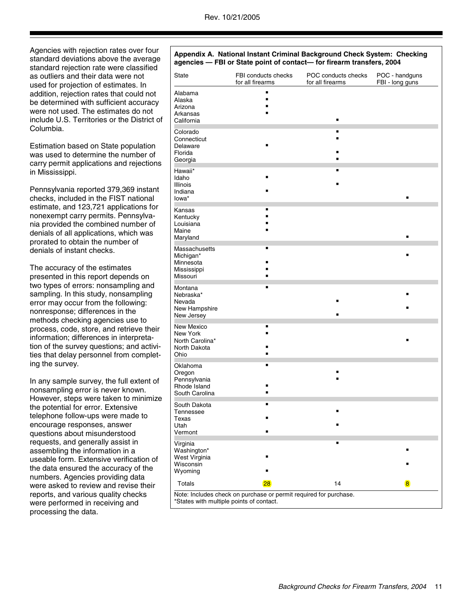| Agencies with rejection rates over four<br>standard deviations above the average<br>standard rejection rate were classified |                                         | Appendix A. National Instant Criminal Background Check System: Checking<br>agencies - FBI or State point of contact- for firearm transfers, 2004 |                                         |                                   |  |  |
|-----------------------------------------------------------------------------------------------------------------------------|-----------------------------------------|--------------------------------------------------------------------------------------------------------------------------------------------------|-----------------------------------------|-----------------------------------|--|--|
| as outliers and their data were not<br>used for projection of estimates. In                                                 | State                                   | FBI conducts checks<br>for all firearms                                                                                                          | POC conducts checks<br>for all firearms | POC - handguns<br>FBI - long guns |  |  |
| addition, rejection rates that could not                                                                                    | Alabama                                 |                                                                                                                                                  |                                         |                                   |  |  |
| be determined with sufficient accuracy                                                                                      | Alaska                                  |                                                                                                                                                  |                                         |                                   |  |  |
| were not used. The estimates do not                                                                                         | Arizona                                 |                                                                                                                                                  |                                         |                                   |  |  |
| include U.S. Territories or the District of                                                                                 | Arkansas<br>California                  |                                                                                                                                                  |                                         |                                   |  |  |
| Columbia.                                                                                                                   |                                         |                                                                                                                                                  |                                         |                                   |  |  |
|                                                                                                                             | Colorado                                |                                                                                                                                                  |                                         |                                   |  |  |
| Estimation based on State population                                                                                        | Connecticut<br>Delaware                 |                                                                                                                                                  |                                         |                                   |  |  |
| was used to determine the number of                                                                                         | Florida                                 |                                                                                                                                                  |                                         |                                   |  |  |
|                                                                                                                             | Georgia                                 |                                                                                                                                                  |                                         |                                   |  |  |
| carry permit applications and rejections                                                                                    | Hawaii*                                 |                                                                                                                                                  |                                         |                                   |  |  |
| in Mississippi.                                                                                                             | Idaho                                   |                                                                                                                                                  |                                         |                                   |  |  |
|                                                                                                                             | Illinois                                |                                                                                                                                                  |                                         |                                   |  |  |
| Pennsylvania reported 379,369 instant                                                                                       | Indiana                                 |                                                                                                                                                  |                                         |                                   |  |  |
| checks, included in the FIST national                                                                                       | lowa*                                   |                                                                                                                                                  |                                         |                                   |  |  |
| estimate, and 123,721 applications for                                                                                      | Kansas                                  |                                                                                                                                                  |                                         |                                   |  |  |
| nonexempt carry permits. Pennsylva-                                                                                         | Kentucky                                |                                                                                                                                                  |                                         |                                   |  |  |
| nia provided the combined number of                                                                                         | Louisiana<br>Maine                      |                                                                                                                                                  |                                         |                                   |  |  |
| denials of all applications, which was                                                                                      | Maryland                                |                                                                                                                                                  |                                         |                                   |  |  |
| prorated to obtain the number of                                                                                            |                                         |                                                                                                                                                  |                                         |                                   |  |  |
| denials of instant checks.                                                                                                  | Massachusetts<br>Michigan*<br>Minnesota |                                                                                                                                                  |                                         |                                   |  |  |
| The accuracy of the estimates                                                                                               | Mississippi                             |                                                                                                                                                  |                                         |                                   |  |  |
| presented in this report depends on                                                                                         | Missouri                                |                                                                                                                                                  |                                         |                                   |  |  |
| two types of errors: nonsampling and                                                                                        | Montana                                 |                                                                                                                                                  |                                         |                                   |  |  |
| sampling. In this study, nonsampling                                                                                        | Nebraska*                               |                                                                                                                                                  |                                         |                                   |  |  |
| error may occur from the following:                                                                                         | Nevada                                  |                                                                                                                                                  |                                         |                                   |  |  |
| nonresponse; differences in the                                                                                             | New Hampshire                           |                                                                                                                                                  |                                         |                                   |  |  |
| methods checking agencies use to                                                                                            | New Jersey                              |                                                                                                                                                  |                                         |                                   |  |  |
| process, code, store, and retrieve their                                                                                    | New Mexico                              |                                                                                                                                                  |                                         |                                   |  |  |
| information; differences in interpreta-                                                                                     | New York<br>North Carolina*             |                                                                                                                                                  |                                         |                                   |  |  |
| tion of the survey questions; and activi-                                                                                   | North Dakota                            |                                                                                                                                                  |                                         |                                   |  |  |
| ties that delay personnel from complet-                                                                                     | Ohio                                    |                                                                                                                                                  |                                         |                                   |  |  |
| ing the survey.                                                                                                             | Oklahoma                                |                                                                                                                                                  |                                         |                                   |  |  |
|                                                                                                                             | Oregon                                  |                                                                                                                                                  |                                         |                                   |  |  |
| In any sample survey, the full extent of                                                                                    | Pennsylvania                            |                                                                                                                                                  |                                         |                                   |  |  |
| nonsampling error is never known.                                                                                           | Rhode Island                            |                                                                                                                                                  |                                         |                                   |  |  |
| However, steps were taken to minimize                                                                                       | South Carolina                          |                                                                                                                                                  |                                         |                                   |  |  |
| the potential for error. Extensive                                                                                          | South Dakota                            |                                                                                                                                                  |                                         |                                   |  |  |
| telephone follow-ups were made to                                                                                           | Tennessee                               |                                                                                                                                                  |                                         |                                   |  |  |
| encourage responses, answer                                                                                                 | Texas<br>Utah                           |                                                                                                                                                  |                                         |                                   |  |  |
| questions about misunderstood                                                                                               | Vermont                                 |                                                                                                                                                  |                                         |                                   |  |  |
| requests, and generally assist in                                                                                           | Virginia                                |                                                                                                                                                  |                                         |                                   |  |  |
| assembling the information in a                                                                                             | Washington*                             |                                                                                                                                                  |                                         |                                   |  |  |
| useable form. Extensive verification of                                                                                     | West Virginia                           |                                                                                                                                                  |                                         |                                   |  |  |
| the data ensured the accuracy of the                                                                                        | Wisconsin                               |                                                                                                                                                  |                                         |                                   |  |  |
| numbers. Agencies providing data                                                                                            | Wyoming                                 |                                                                                                                                                  |                                         |                                   |  |  |
| were asked to review and revise their                                                                                       | Totals                                  | 28                                                                                                                                               | 14                                      | $\overline{\mathbf{8}}$           |  |  |
| reports, and various quality checks                                                                                         |                                         | Note: Includes check on purchase or permit required for purchase.                                                                                |                                         |                                   |  |  |
| were performed in receiving and                                                                                             |                                         | *States with multiple points of contact.                                                                                                         |                                         |                                   |  |  |
| processing the data.                                                                                                        |                                         |                                                                                                                                                  |                                         |                                   |  |  |